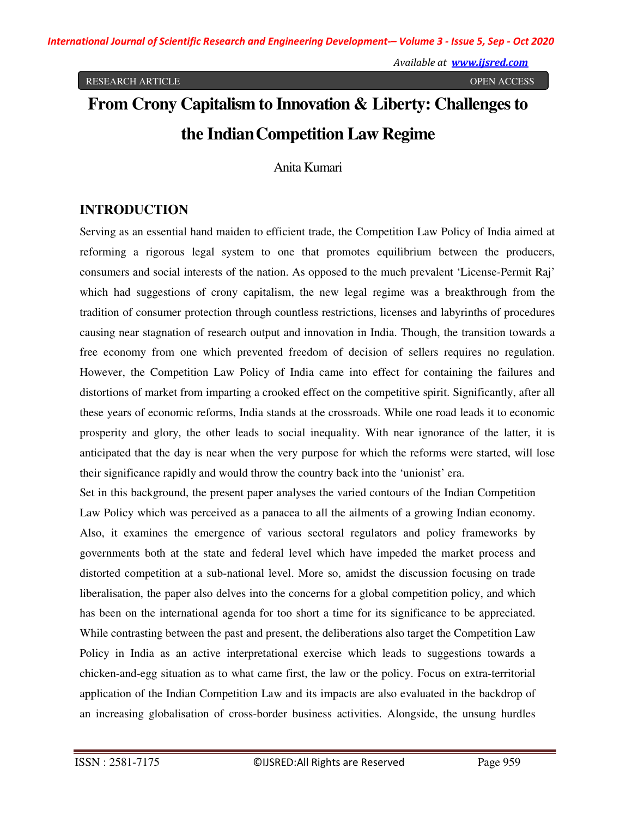# **From Crony Capitalism to Innovation & Liberty: Challenges to the Indian Competition Law Regime**

Anita Kumari

# **INTRODUCTION**

Serving as an essential hand maiden to efficient trade, the Competition Law Policy of India aimed at reforming a rigorous legal system to one that promotes equilibrium between the producers, consumers and social interests of the nation. As opposed to the much prevalent 'License-Permit Raj' which had suggestions of crony capitalism, the new legal regime was a breakthrough from the tradition of consumer protection through countless restrictions, licenses and labyrinths of procedures causing near stagnation of research output and innovation in India. Though, the transition towards a free economy from one which prevented freedom of decision of sellers requires no regulation. However, the Competition Law Policy of India came into effect for containing the failures and distortions of market from imparting a crooked effect on the competitive spirit. Significantly, after all these years of economic reforms, India stands at the crossroads. While one road leads it to economic prosperity and glory, the other leads to social inequality. With near ignorance of the latter, it is anticipated that the day is near when the very purpose for which the reforms were started, will lose their significance rapidly and would throw the country back into the 'unionist' era.

Set in this background, the present paper analyses the varied contours of the Indian Competition Law Policy which was perceived as a panacea to all the ailments of a growing Indian economy. Also, it examines the emergence of various sectoral regulators and policy frameworks by governments both at the state and federal level which have impeded the market process and distorted competition at a sub-national level. More so, amidst the discussion focusing on trade liberalisation, the paper also delves into the concerns for a global competition policy, and which has been on the international agenda for too short a time for its significance to be appreciated. While contrasting between the past and present, the deliberations also target the Competition Law Policy in India as an active interpretational exercise which leads to suggestions towards a chicken-and-egg situation as to what came first, the law or the policy. Focus on extra-territorial application of the Indian Competition Law and its impacts are also evaluated in the backdrop of an increasing globalisation of cross-border business activities. Alongside, the unsung hurdles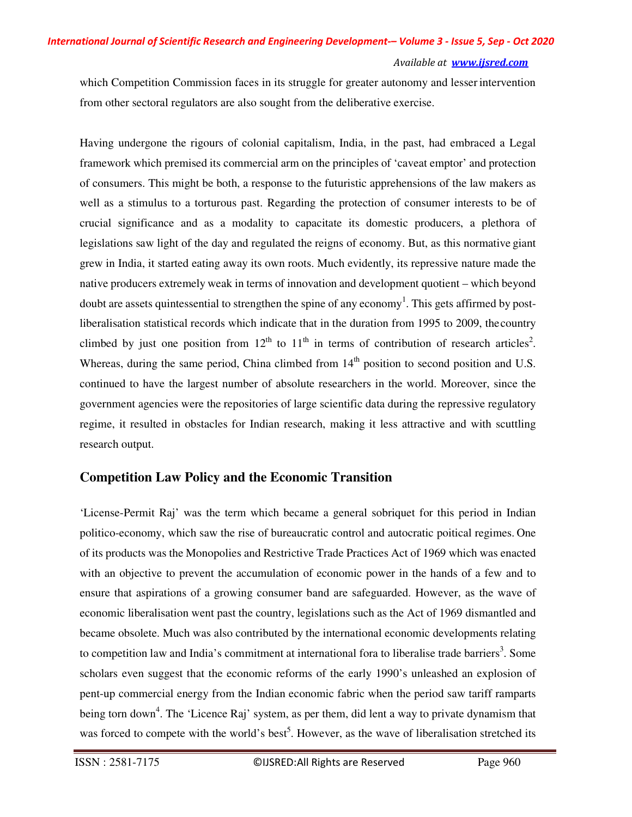which Competition Commission faces in its struggle for greater autonomy and lesser intervention from other sectoral regulators are also sought from the deliberative exercise.

Having undergone the rigours of colonial capitalism, India, in the past, had embraced a Legal framework which premised its commercial arm on the principles of 'caveat emptor' and protection of consumers. This might be both, a response to the futuristic apprehensions of the law makers as well as a stimulus to a torturous past. Regarding the protection of consumer interests to be of crucial significance and as a modality to capacitate its domestic producers, a plethora of legislations saw light of the day and regulated the reigns of economy. But, as this normative giant grew in India, it started eating away its own roots. Much evidently, its repressive nature made the native producers extremely weak in terms of innovation and development quotient – which beyond doubt are assets quintessential to strengthen the spine of any economy<sup>1</sup>. This gets affirmed by postliberalisation statistical records which indicate that in the duration from 1995 to 2009, the country climbed by just one position from  $12^{th}$  to  $11^{th}$  in terms of contribution of research articles<sup>2</sup>. Whereas, during the same period, China climbed from  $14<sup>th</sup>$  position to second position and U.S. continued to have the largest number of absolute researchers in the world. Moreover, since the government agencies were the repositories of large scientific data during the repressive regulatory regime, it resulted in obstacles for Indian research, making it less attractive and with scuttling research output.

## **Competition Law Policy and the Economic Transition**

'License-Permit Raj' was the term which became a general sobriquet for this period in Indian politico-economy, which saw the rise of bureaucratic control and autocratic poitical regimes. One of its products was the Monopolies and Restrictive Trade Practices Act of 1969 which was enacted with an objective to prevent the accumulation of economic power in the hands of a few and to ensure that aspirations of a growing consumer band are safeguarded. However, as the wave of economic liberalisation went past the country, legislations such as the Act of 1969 dismantled and became obsolete. Much was also contributed by the international economic developments relating to competition law and India's commitment at international fora to liberalise trade barriers<sup>3</sup>. Some scholars even suggest that the economic reforms of the early 1990's unleashed an explosion of pent-up commercial energy from the Indian economic fabric when the period saw tariff ramparts being torn down<sup>4</sup>. The 'Licence Raj' system, as per them, did lent a way to private dynamism that was forced to compete with the world's best<sup>5</sup>. However, as the wave of liberalisation stretched its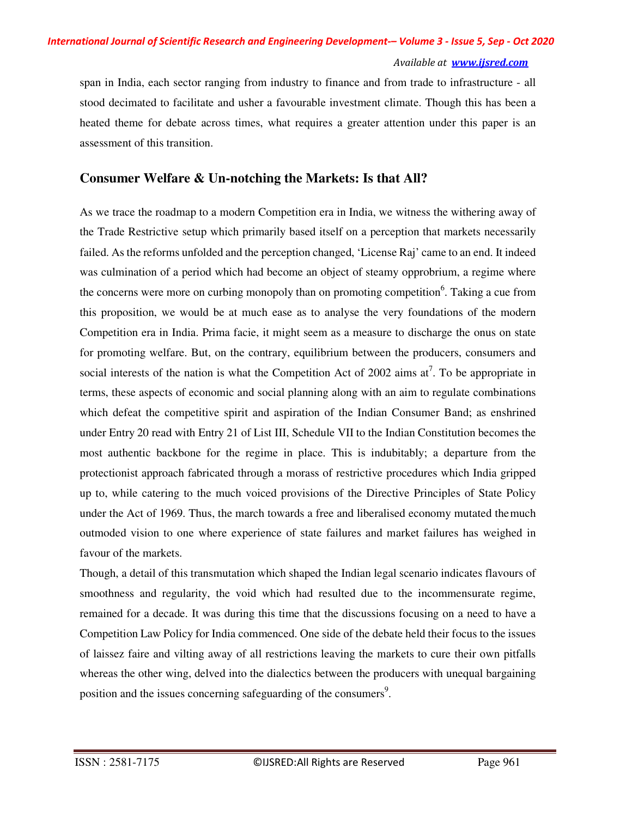span in India, each sector ranging from industry to finance and from trade to infrastructure - all stood decimated to facilitate and usher a favourable investment climate. Though this has been a heated theme for debate across times, what requires a greater attention under this paper is an assessment of this transition.

## **Consumer Welfare & Un-notching the Markets: Is that All?**

As we trace the roadmap to a modern Competition era in India, we witness the withering away of the Trade Restrictive setup which primarily based itself on a perception that markets necessarily failed. As the reforms unfolded and the perception changed, 'License Raj' came to an end. It indeed was culmination of a period which had become an object of steamy opprobrium, a regime where the concerns were more on curbing monopoly than on promoting competition<sup>6</sup>. Taking a cue from this proposition, we would be at much ease as to analyse the very foundations of the modern Competition era in India. Prima facie, it might seem as a measure to discharge the onus on state for promoting welfare. But, on the contrary, equilibrium between the producers, consumers and social interests of the nation is what the Competition Act of 2002 aims  $at^7$ . To be appropriate in terms, these aspects of economic and social planning along with an aim to regulate combinations which defeat the competitive spirit and aspiration of the Indian Consumer Band; as enshrined under Entry 20 read with Entry 21 of List III, Schedule VII to the Indian Constitution becomes the most authentic backbone for the regime in place. This is indubitably; a departure from the protectionist approach fabricated through a morass of restrictive procedures which India gripped up to, while catering to the much voiced provisions of the Directive Principles of State Policy under the Act of 1969. Thus, the march towards a free and liberalised economy mutated the much outmoded vision to one where experience of state failures and market failures has weighed in favour of the markets.

Though, a detail of this transmutation which shaped the Indian legal scenario indicates flavours of smoothness and regularity, the void which had resulted due to the incommensurate regime, remained for a decade. It was during this time that the discussions focusing on a need to have a Competition Law Policy for India commenced. One side of the debate held their focus to the issues of laissez faire and vilting away of all restrictions leaving the markets to cure their own pitfalls whereas the other wing, delved into the dialectics between the producers with unequal bargaining position and the issues concerning safeguarding of the consumers<sup>9</sup>.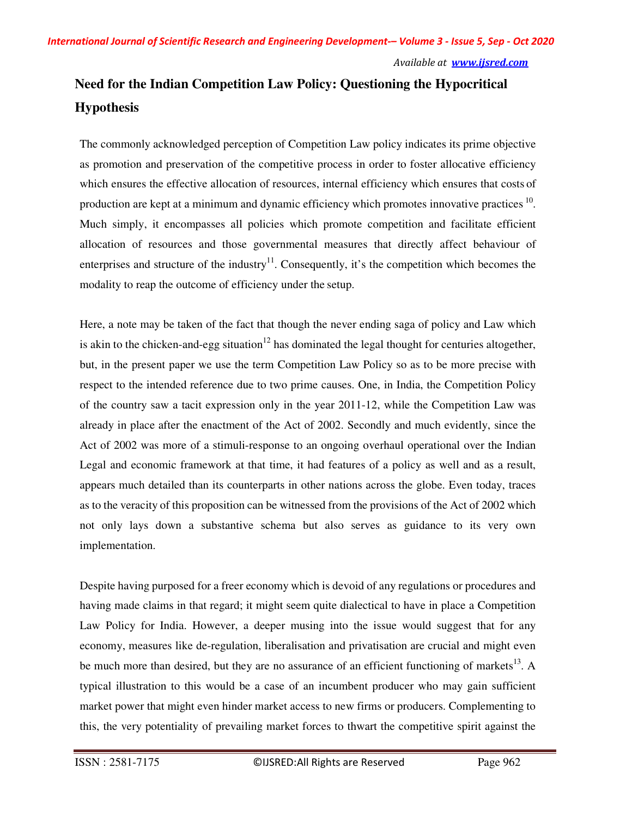# **Need for the Indian Competition Law Policy: Questioning the Hypocritical Hypothesis**

The commonly acknowledged perception of Competition Law policy indicates its prime objective as promotion and preservation of the competitive process in order to foster allocative efficiency which ensures the effective allocation of resources, internal efficiency which ensures that costs of production are kept at a minimum and dynamic efficiency which promotes innovative practices  $10$ . Much simply, it encompasses all policies which promote competition and facilitate efficient allocation of resources and those governmental measures that directly affect behaviour of enterprises and structure of the industry<sup>11</sup>. Consequently, it's the competition which becomes the modality to reap the outcome of efficiency under the setup.

Here, a note may be taken of the fact that though the never ending saga of policy and Law which is akin to the chicken-and-egg situation<sup>12</sup> has dominated the legal thought for centuries altogether, but, in the present paper we use the term Competition Law Policy so as to be more precise with respect to the intended reference due to two prime causes. One, in India, the Competition Policy of the country saw a tacit expression only in the year 2011-12, while the Competition Law was already in place after the enactment of the Act of 2002. Secondly and much evidently, since the Act of 2002 was more of a stimuli-response to an ongoing overhaul operational over the Indian Legal and economic framework at that time, it had features of a policy as well and as a result, appears much detailed than its counterparts in other nations across the globe. Even today, traces as to the veracity of this proposition can be witnessed from the provisions of the Act of 2002 which not only lays down a substantive schema but also serves as guidance to its very own implementation.

Despite having purposed for a freer economy which is devoid of any regulations or procedures and having made claims in that regard; it might seem quite dialectical to have in place a Competition Law Policy for India. However, a deeper musing into the issue would suggest that for any economy, measures like de-regulation, liberalisation and privatisation are crucial and might even be much more than desired, but they are no assurance of an efficient functioning of markets<sup>13</sup>. A typical illustration to this would be a case of an incumbent producer who may gain sufficient market power that might even hinder market access to new firms or producers. Complementing to this, the very potentiality of prevailing market forces to thwart the competitive spirit against the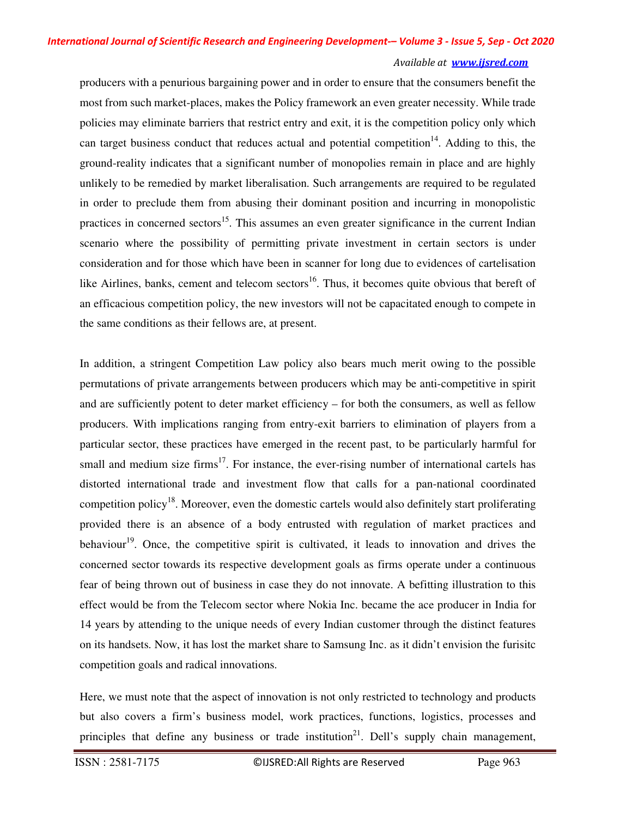producers with a penurious bargaining power and in order to ensure that the consumers benefit the most from such market-places, makes the Policy framework an even greater necessity. While trade policies may eliminate barriers that restrict entry and exit, it is the competition policy only which can target business conduct that reduces actual and potential competition<sup>14</sup>. Adding to this, the ground-reality indicates that a significant number of monopolies remain in place and are highly unlikely to be remedied by market liberalisation. Such arrangements are required to be regulated in order to preclude them from abusing their dominant position and incurring in monopolistic practices in concerned sectors<sup>15</sup>. This assumes an even greater significance in the current Indian scenario where the possibility of permitting private investment in certain sectors is under consideration and for those which have been in scanner for long due to evidences of cartelisation like Airlines, banks, cement and telecom sectors<sup>16</sup>. Thus, it becomes quite obvious that bereft of an efficacious competition policy, the new investors will not be capacitated enough to compete in the same conditions as their fellows are, at present.

In addition, a stringent Competition Law policy also bears much merit owing to the possible permutations of private arrangements between producers which may be anti-competitive in spirit and are sufficiently potent to deter market efficiency – for both the consumers, as well as fellow producers. With implications ranging from entry-exit barriers to elimination of players from a particular sector, these practices have emerged in the recent past, to be particularly harmful for small and medium size firms<sup>17</sup>. For instance, the ever-rising number of international cartels has distorted international trade and investment flow that calls for a pan-national coordinated competition policy<sup>18</sup>. Moreover, even the domestic cartels would also definitely start proliferating provided there is an absence of a body entrusted with regulation of market practices and behaviour<sup>19</sup>. Once, the competitive spirit is cultivated, it leads to innovation and drives the concerned sector towards its respective development goals as firms operate under a continuous fear of being thrown out of business in case they do not innovate. A befitting illustration to this effect would be from the Telecom sector where Nokia Inc. became the ace producer in India for 14 years by attending to the unique needs of every Indian customer through the distinct features on its handsets. Now, it has lost the market share to Samsung Inc. as it didn't envision the furisitc competition goals and radical innovations.

Here, we must note that the aspect of innovation is not only restricted to technology and products but also covers a firm's business model, work practices, functions, logistics, processes and principles that define any business or trade institution<sup>21</sup>. Dell's supply chain management,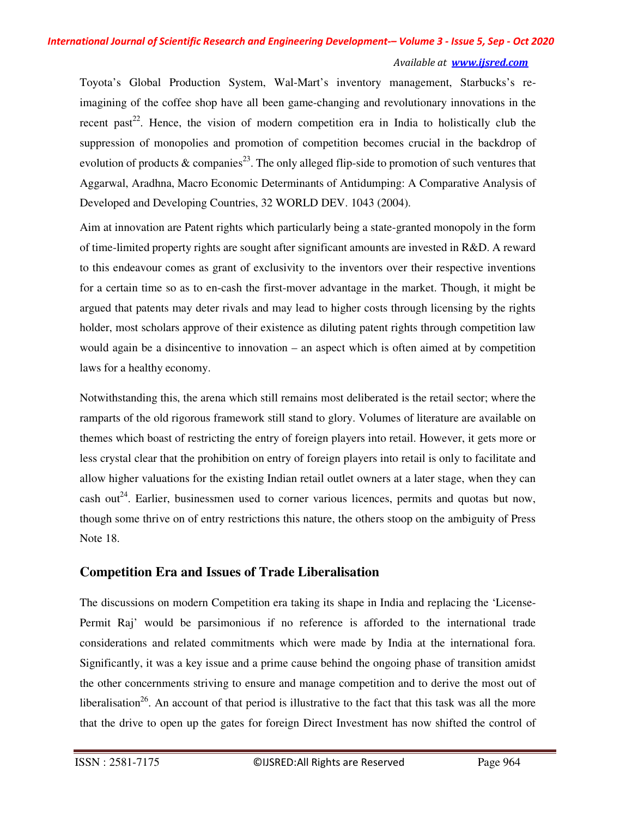Toyota's Global Production System, Wal-Mart's inventory management, Starbucks's reimagining of the coffee shop have all been game-changing and revolutionary innovations in the recent past<sup>22</sup>. Hence, the vision of modern competition era in India to holistically club the suppression of monopolies and promotion of competition becomes crucial in the backdrop of evolution of products & companies<sup>23</sup>. The only alleged flip-side to promotion of such ventures that Aggarwal, Aradhna, Macro Economic Determinants of Antidumping: A Comparative Analysis of Developed and Developing Countries, 32 WORLD DEV. 1043 (2004).

Aim at innovation are Patent rights which particularly being a state-granted monopoly in the form of time-limited property rights are sought after significant amounts are invested in R&D. A reward to this endeavour comes as grant of exclusivity to the inventors over their respective inventions for a certain time so as to en-cash the first-mover advantage in the market. Though, it might be argued that patents may deter rivals and may lead to higher costs through licensing by the rights holder, most scholars approve of their existence as diluting patent rights through competition law would again be a disincentive to innovation – an aspect which is often aimed at by competition laws for a healthy economy.

Notwithstanding this, the arena which still remains most deliberated is the retail sector; where the ramparts of the old rigorous framework still stand to glory. Volumes of literature are available on themes which boast of restricting the entry of foreign players into retail. However, it gets more or less crystal clear that the prohibition on entry of foreign players into retail is only to facilitate and allow higher valuations for the existing Indian retail outlet owners at a later stage, when they can cash out<sup>24</sup>. Earlier, businessmen used to corner various licences, permits and quotas but now, though some thrive on of entry restrictions this nature, the others stoop on the ambiguity of Press Note 18.

## **Competition Era and Issues of Trade Liberalisation**

The discussions on modern Competition era taking its shape in India and replacing the 'License-Permit Raj' would be parsimonious if no reference is afforded to the international trade considerations and related commitments which were made by India at the international fora. Significantly, it was a key issue and a prime cause behind the ongoing phase of transition amidst the other concernments striving to ensure and manage competition and to derive the most out of liberalisation<sup>26</sup>. An account of that period is illustrative to the fact that this task was all the more that the drive to open up the gates for foreign Direct Investment has now shifted the control of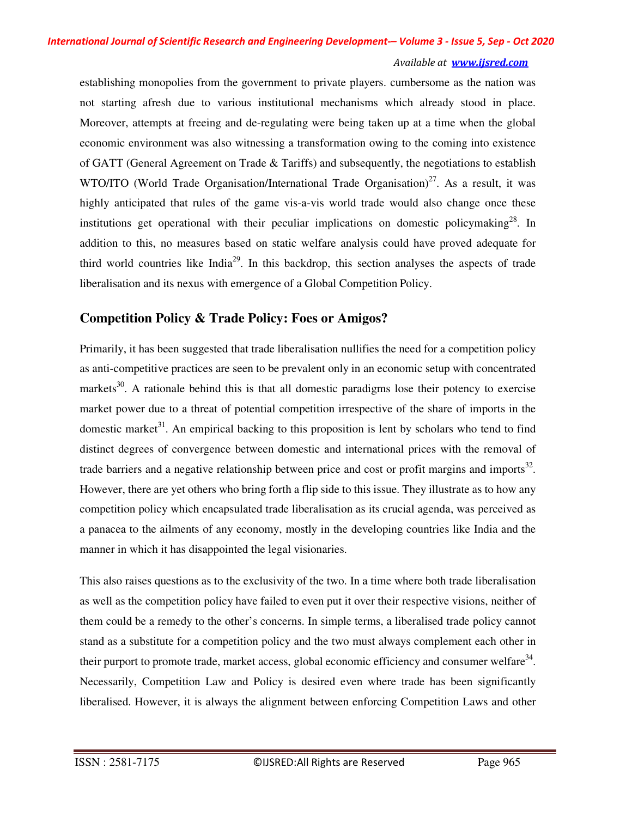establishing monopolies from the government to private players. cumbersome as the nation was not starting afresh due to various institutional mechanisms which already stood in place. Moreover, attempts at freeing and de-regulating were being taken up at a time when the global economic environment was also witnessing a transformation owing to the coming into existence of GATT (General Agreement on Trade  $&$  Tariffs) and subsequently, the negotiations to establish WTO/ITO (World Trade Organisation/International Trade Organisation)<sup>27</sup>. As a result, it was highly anticipated that rules of the game vis-a-vis world trade would also change once these institutions get operational with their peculiar implications on domestic policymaking<sup>28</sup>. In addition to this, no measures based on static welfare analysis could have proved adequate for third world countries like  $\text{India}^{29}$ . In this backdrop, this section analyses the aspects of trade liberalisation and its nexus with emergence of a Global Competition Policy.

## **Competition Policy & Trade Policy: Foes or Amigos?**

Primarily, it has been suggested that trade liberalisation nullifies the need for a competition policy as anti-competitive practices are seen to be prevalent only in an economic setup with concentrated markets<sup>30</sup>. A rationale behind this is that all domestic paradigms lose their potency to exercise market power due to a threat of potential competition irrespective of the share of imports in the domestic market<sup>31</sup>. An empirical backing to this proposition is lent by scholars who tend to find distinct degrees of convergence between domestic and international prices with the removal of trade barriers and a negative relationship between price and cost or profit margins and imports $^{32}$ . However, there are yet others who bring forth a flip side to this issue. They illustrate as to how any competition policy which encapsulated trade liberalisation as its crucial agenda, was perceived as a panacea to the ailments of any economy, mostly in the developing countries like India and the manner in which it has disappointed the legal visionaries.

This also raises questions as to the exclusivity of the two. In a time where both trade liberalisation as well as the competition policy have failed to even put it over their respective visions, neither of them could be a remedy to the other's concerns. In simple terms, a liberalised trade policy cannot stand as a substitute for a competition policy and the two must always complement each other in their purport to promote trade, market access, global economic efficiency and consumer welfare $34$ . Necessarily, Competition Law and Policy is desired even where trade has been significantly liberalised. However, it is always the alignment between enforcing Competition Laws and other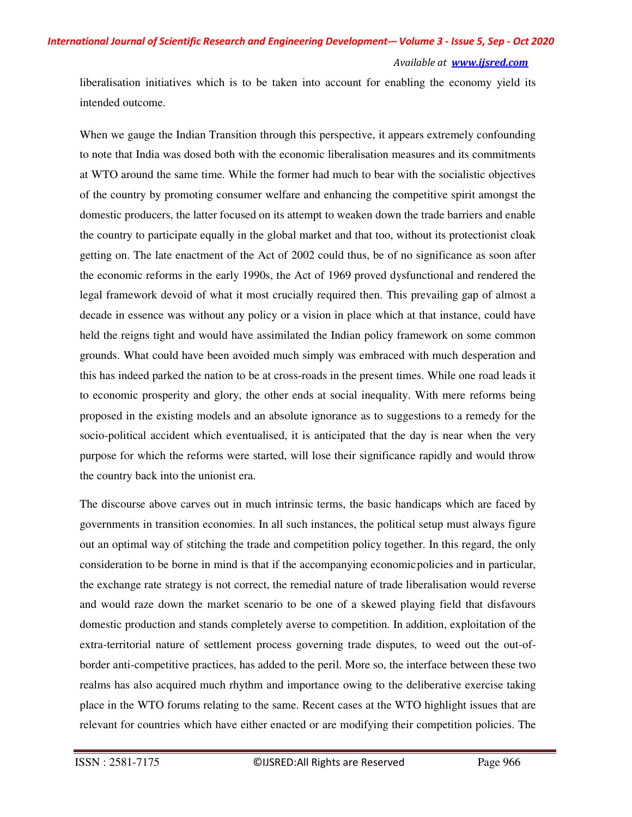### *International Journal of Scientific Research and Engineering Development-– Volume 3 - Issue 5, Sep - Oct 2020*

#### *Available at www.ijsred.com*

liberalisation initiatives which is to be taken into account for enabling the economy yield its intended outcome.

When we gauge the Indian Transition through this perspective, it appears extremely confounding to note that India was dosed both with the economic liberalisation measures and its commitments at WTO around the same time. While the former had much to bear with the socialistic objectives of the country by promoting consumer welfare and enhancing the competitive spirit amongst the domestic producers, the latter focused on its attempt to weaken down the trade barriers and enable the country to participate equally in the global market and that too, without its protectionist cloak getting on. The late enactment of the Act of 2002 could thus, be of no significance as soon after the economic reforms in the early 1990s, the Act of 1969 proved dysfunctional and rendered the legal framework devoid of what it most crucially required then. This prevailing gap of almost a decade in essence was without any policy or a vision in place which at that instance, could have held the reigns tight and would have assimilated the Indian policy framework on some common grounds. What could have been avoided much simply was embraced with much desperation and this has indeed parked the nation to be at cross-roads in the present times. While one road leads it to economic prosperity and glory, the other ends at social inequality. With mere reforms being proposed in the existing models and an absolute ignorance as to suggestions to a remedy for the socio-political accident which eventualised, it is anticipated that the day is near when the very purpose for which the reforms were started, will lose their significance rapidly and would throw the country back into the unionist era.

The discourse above carves out in much intrinsic terms, the basic handicaps which are faced by governments in transition economies. In all such instances, the political setup must always figure out an optimal way of stitching the trade and competition policy together. In this regard, the only consideration to be borne in mind is that if the accompanying economic policies and in particular, the exchange rate strategy is not correct, the remedial nature of trade liberalisation would reverse and would raze down the market scenario to be one of a skewed playing field that disfavours domestic production and stands completely averse to competition. In addition, exploitation of the extra-territorial nature of settlement process governing trade disputes, to weed out the out-ofborder anti-competitive practices, has added to the peril. More so, the interface between these two realms has also acquired much rhythm and importance owing to the deliberative exercise taking place in the WTO forums relating to the same. Recent cases at the WTO highlight issues that are relevant for countries which have either enacted or are modifying their competition policies. The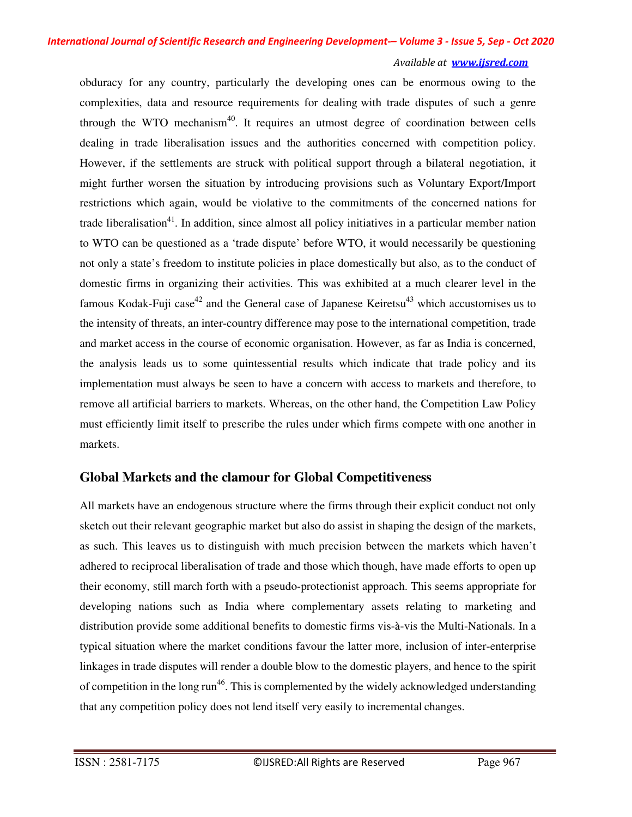obduracy for any country, particularly the developing ones can be enormous owing to the complexities, data and resource requirements for dealing with trade disputes of such a genre through the WTO mechanism $40$ . It requires an utmost degree of coordination between cells dealing in trade liberalisation issues and the authorities concerned with competition policy. However, if the settlements are struck with political support through a bilateral negotiation, it might further worsen the situation by introducing provisions such as Voluntary Export/Import restrictions which again, would be violative to the commitments of the concerned nations for trade liberalisation<sup>41</sup>. In addition, since almost all policy initiatives in a particular member nation to WTO can be questioned as a 'trade dispute' before WTO, it would necessarily be questioning not only a state's freedom to institute policies in place domestically but also, as to the conduct of domestic firms in organizing their activities. This was exhibited at a much clearer level in the famous Kodak-Fuji case<sup>42</sup> and the General case of Japanese Keiretsu<sup>43</sup> which accustomises us to the intensity of threats, an inter-country difference may pose to the international competition, trade and market access in the course of economic organisation. However, as far as India is concerned, the analysis leads us to some quintessential results which indicate that trade policy and its implementation must always be seen to have a concern with access to markets and therefore, to remove all artificial barriers to markets. Whereas, on the other hand, the Competition Law Policy must efficiently limit itself to prescribe the rules under which firms compete with one another in markets.

## **Global Markets and the clamour for Global Competitiveness**

All markets have an endogenous structure where the firms through their explicit conduct not only sketch out their relevant geographic market but also do assist in shaping the design of the markets, as such. This leaves us to distinguish with much precision between the markets which haven't adhered to reciprocal liberalisation of trade and those which though, have made efforts to open up their economy, still march forth with a pseudo-protectionist approach. This seems appropriate for developing nations such as India where complementary assets relating to marketing and distribution provide some additional benefits to domestic firms vis-à-vis the Multi-Nationals. In a typical situation where the market conditions favour the latter more, inclusion of inter-enterprise linkages in trade disputes will render a double blow to the domestic players, and hence to the spirit of competition in the long run<sup>46</sup>. This is complemented by the widely acknowledged understanding that any competition policy does not lend itself very easily to incremental changes.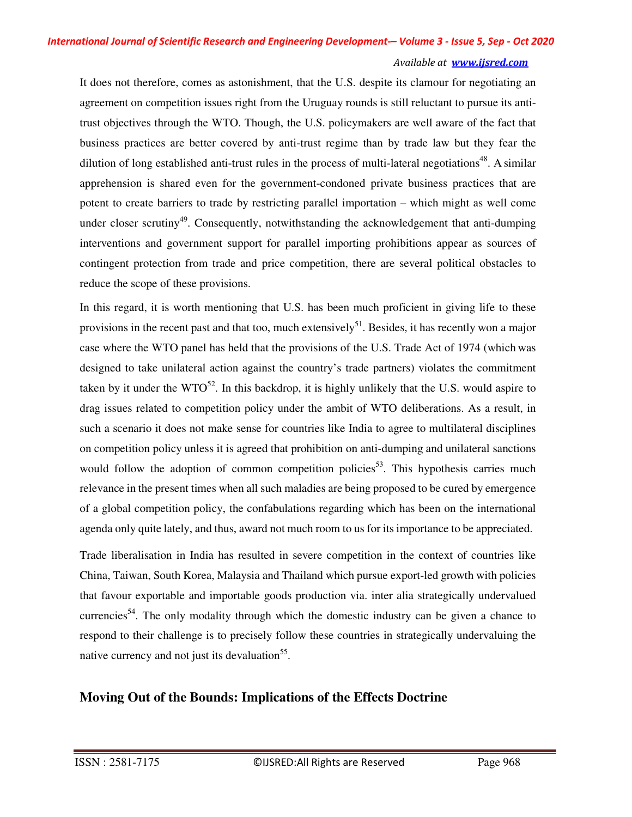It does not therefore, comes as astonishment, that the U.S. despite its clamour for negotiating an agreement on competition issues right from the Uruguay rounds is still reluctant to pursue its antitrust objectives through the WTO. Though, the U.S. policymakers are well aware of the fact that business practices are better covered by anti-trust regime than by trade law but they fear the dilution of long established anti-trust rules in the process of multi-lateral negotiations<sup>48</sup>. A similar apprehension is shared even for the government-condoned private business practices that are potent to create barriers to trade by restricting parallel importation – which might as well come under closer scrutiny<sup>49</sup>. Consequently, notwithstanding the acknowledgement that anti-dumping interventions and government support for parallel importing prohibitions appear as sources of contingent protection from trade and price competition, there are several political obstacles to reduce the scope of these provisions.

In this regard, it is worth mentioning that U.S. has been much proficient in giving life to these provisions in the recent past and that too, much extensively<sup>51</sup>. Besides, it has recently won a major case where the WTO panel has held that the provisions of the U.S. Trade Act of 1974 (which was designed to take unilateral action against the country's trade partners) violates the commitment taken by it under the  $WTO^{52}$ . In this backdrop, it is highly unlikely that the U.S. would aspire to drag issues related to competition policy under the ambit of WTO deliberations. As a result, in such a scenario it does not make sense for countries like India to agree to multilateral disciplines on competition policy unless it is agreed that prohibition on anti-dumping and unilateral sanctions would follow the adoption of common competition policies<sup>53</sup>. This hypothesis carries much relevance in the present times when all such maladies are being proposed to be cured by emergence of a global competition policy, the confabulations regarding which has been on the international agenda only quite lately, and thus, award not much room to us for its importance to be appreciated.

Trade liberalisation in India has resulted in severe competition in the context of countries like China, Taiwan, South Korea, Malaysia and Thailand which pursue export-led growth with policies that favour exportable and importable goods production via. inter alia strategically undervalued currencies<sup>54</sup>. The only modality through which the domestic industry can be given a chance to respond to their challenge is to precisely follow these countries in strategically undervaluing the native currency and not just its devaluation<sup>55</sup>.

# **Moving Out of the Bounds: Implications of the Effects Doctrine**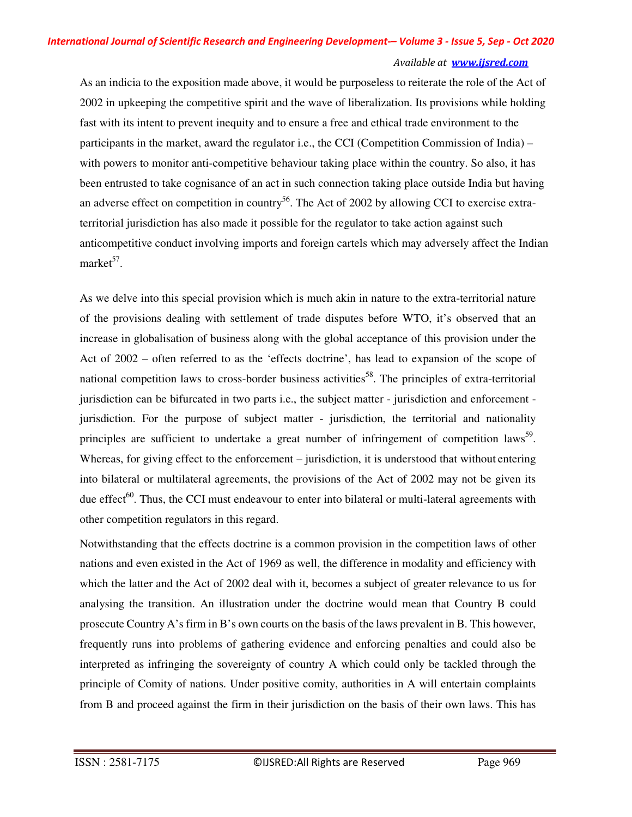# *International Journal of Scientific Research and Engineering Development-– Volume 3 - Issue 5, Sep - Oct 2020*

### *Available at www.ijsred.com*

As an indicia to the exposition made above, it would be purposeless to reiterate the role of the Act of 2002 in upkeeping the competitive spirit and the wave of liberalization. Its provisions while holding fast with its intent to prevent inequity and to ensure a free and ethical trade environment to the participants in the market, award the regulator i.e., the CCI (Competition Commission of India) – with powers to monitor anti-competitive behaviour taking place within the country. So also, it has been entrusted to take cognisance of an act in such connection taking place outside India but having an adverse effect on competition in country<sup>56</sup>. The Act of 2002 by allowing CCI to exercise extraterritorial jurisdiction has also made it possible for the regulator to take action against such anticompetitive conduct involving imports and foreign cartels which may adversely affect the Indian market $57$ .

As we delve into this special provision which is much akin in nature to the extra-territorial nature of the provisions dealing with settlement of trade disputes before WTO, it's observed that an increase in globalisation of business along with the global acceptance of this provision under the Act of 2002 – often referred to as the 'effects doctrine', has lead to expansion of the scope of national competition laws to cross-border business activities<sup>58</sup>. The principles of extra-territorial jurisdiction can be bifurcated in two parts i.e., the subject matter - jurisdiction and enforcement jurisdiction. For the purpose of subject matter - jurisdiction, the territorial and nationality principles are sufficient to undertake a great number of infringement of competition laws<sup>59</sup>. Whereas, for giving effect to the enforcement – jurisdiction, it is understood that without entering into bilateral or multilateral agreements, the provisions of the Act of 2002 may not be given its due effect<sup>60</sup>. Thus, the CCI must endeavour to enter into bilateral or multi-lateral agreements with other competition regulators in this regard.

Notwithstanding that the effects doctrine is a common provision in the competition laws of other nations and even existed in the Act of 1969 as well, the difference in modality and efficiency with which the latter and the Act of 2002 deal with it, becomes a subject of greater relevance to us for analysing the transition. An illustration under the doctrine would mean that Country B could prosecute Country A's firm in B's own courts on the basis of the laws prevalent in B. This however, frequently runs into problems of gathering evidence and enforcing penalties and could also be interpreted as infringing the sovereignty of country A which could only be tackled through the principle of Comity of nations. Under positive comity, authorities in A will entertain complaints from B and proceed against the firm in their jurisdiction on the basis of their own laws. This has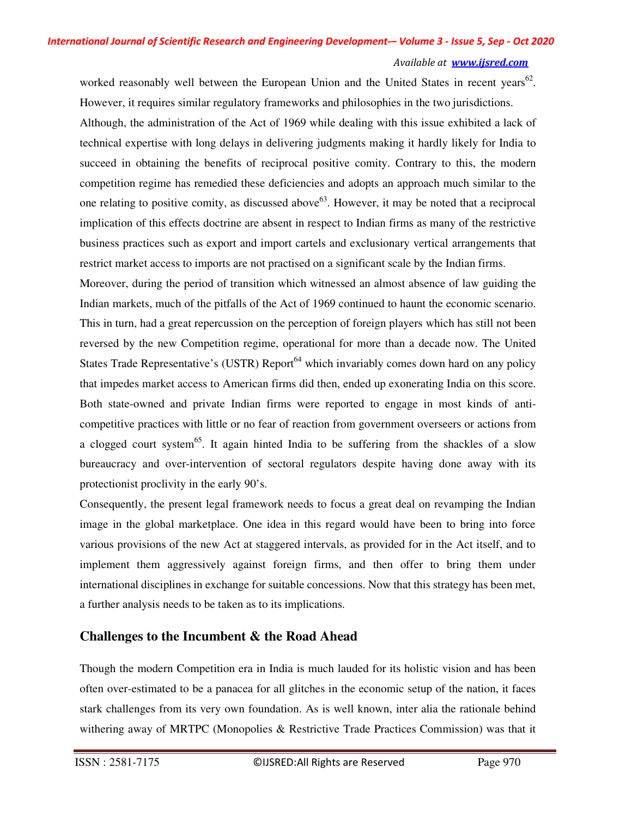worked reasonably well between the European Union and the United States in recent years<sup>62</sup>. However, it requires similar regulatory frameworks and philosophies in the two jurisdictions.

Although, the administration of the Act of 1969 while dealing with this issue exhibited a lack of technical expertise with long delays in delivering judgments making it hardly likely for India to succeed in obtaining the benefits of reciprocal positive comity. Contrary to this, the modern competition regime has remedied these deficiencies and adopts an approach much similar to the one relating to positive comity, as discussed above<sup>63</sup>. However, it may be noted that a reciprocal implication of this effects doctrine are absent in respect to Indian firms as many of the restrictive business practices such as export and import cartels and exclusionary vertical arrangements that restrict market access to imports are not practised on a significant scale by the Indian firms.

Moreover, during the period of transition which witnessed an almost absence of law guiding the Indian markets, much of the pitfalls of the Act of 1969 continued to haunt the economic scenario. This in turn, had a great repercussion on the perception of foreign players which has still not been reversed by the new Competition regime, operational for more than a decade now. The United States Trade Representative's (USTR) Report<sup>64</sup> which invariably comes down hard on any policy that impedes market access to American firms did then, ended up exonerating India on this score. Both state-owned and private Indian firms were reported to engage in most kinds of anticompetitive practices with little or no fear of reaction from government overseers or actions from a clogged court system<sup>65</sup>. It again hinted India to be suffering from the shackles of a slow bureaucracy and over-intervention of sectoral regulators despite having done away with its protectionist proclivity in the early 90's.

Consequently, the present legal framework needs to focus a great deal on revamping the Indian image in the global marketplace. One idea in this regard would have been to bring into force various provisions of the new Act at staggered intervals, as provided for in the Act itself, and to implement them aggressively against foreign firms, and then offer to bring them under international disciplines in exchange for suitable concessions. Now that this strategy has been met, a further analysis needs to be taken as to its implications.

## **Challenges to the Incumbent & the Road Ahead**

Though the modern Competition era in India is much lauded for its holistic vision and has been often over-estimated to be a panacea for all glitches in the economic setup of the nation, it faces stark challenges from its very own foundation. As is well known, inter alia the rationale behind withering away of MRTPC (Monopolies & Restrictive Trade Practices Commission) was that it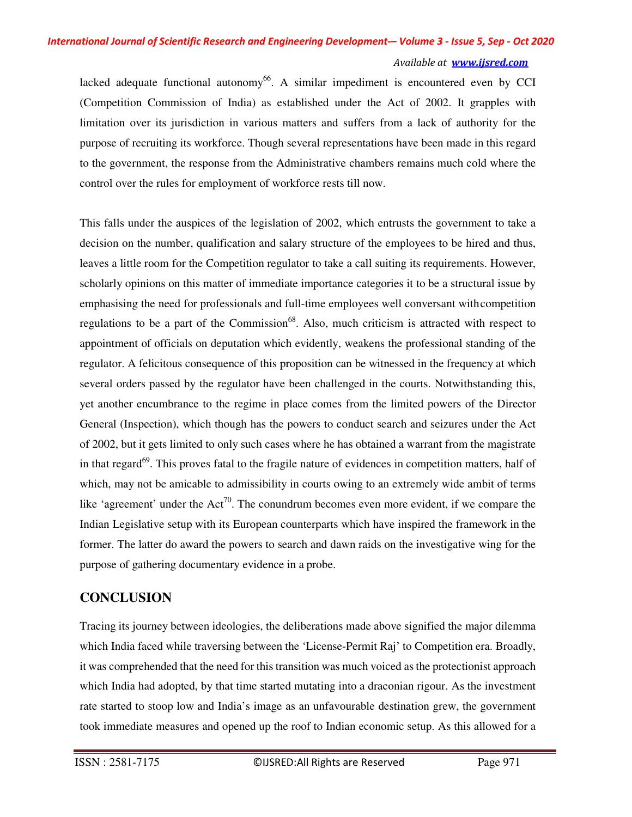lacked adequate functional autonomy<sup>66</sup>. A similar impediment is encountered even by CCI (Competition Commission of India) as established under the Act of 2002. It grapples with limitation over its jurisdiction in various matters and suffers from a lack of authority for the purpose of recruiting its workforce. Though several representations have been made in this regard to the government, the response from the Administrative chambers remains much cold where the control over the rules for employment of workforce rests till now.

This falls under the auspices of the legislation of 2002, which entrusts the government to take a decision on the number, qualification and salary structure of the employees to be hired and thus, leaves a little room for the Competition regulator to take a call suiting its requirements. However, scholarly opinions on this matter of immediate importance categories it to be a structural issue by emphasising the need for professionals and full-time employees well conversant with competition regulations to be a part of the Commission<sup>68</sup>. Also, much criticism is attracted with respect to appointment of officials on deputation which evidently, weakens the professional standing of the regulator. A felicitous consequence of this proposition can be witnessed in the frequency at which several orders passed by the regulator have been challenged in the courts. Notwithstanding this, yet another encumbrance to the regime in place comes from the limited powers of the Director General (Inspection), which though has the powers to conduct search and seizures under the Act of 2002, but it gets limited to only such cases where he has obtained a warrant from the magistrate in that regard<sup>69</sup>. This proves fatal to the fragile nature of evidences in competition matters, half of which, may not be amicable to admissibility in courts owing to an extremely wide ambit of terms like 'agreement' under the  $Act^{70}$ . The conundrum becomes even more evident, if we compare the Indian Legislative setup with its European counterparts which have inspired the framework in the former. The latter do award the powers to search and dawn raids on the investigative wing for the purpose of gathering documentary evidence in a probe.

## **CONCLUSION**

Tracing its journey between ideologies, the deliberations made above signified the major dilemma which India faced while traversing between the 'License-Permit Raj' to Competition era. Broadly, it was comprehended that the need for this transition was much voiced as the protectionist approach which India had adopted, by that time started mutating into a draconian rigour. As the investment rate started to stoop low and India's image as an unfavourable destination grew, the government took immediate measures and opened up the roof to Indian economic setup. As this allowed for a